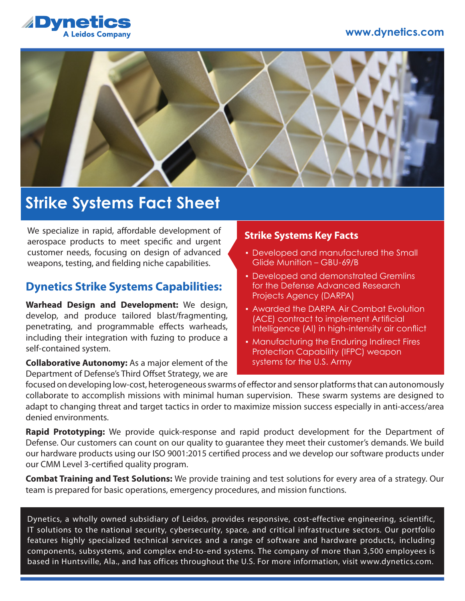#### **www.dynetics.com**





## **Strike Systems Fact Sheet**

We specialize in rapid, affordable development of aerospace products to meet specific and urgent customer needs, focusing on design of advanced weapons, testing, and fielding niche capabilities.

### **Dynetics Strike Systems Capabilities:**

**Warhead Design and Development:** We design, develop, and produce tailored blast/fragmenting, penetrating, and programmable effects warheads, including their integration with fuzing to produce a self-contained system.

**Collaborative Autonomy:** As a major element of the Department of Defense's Third Offset Strategy, we are

#### **Strike Systems Key Facts**

- Developed and manufactured the Small Glide Munition – GBU-69/B
- **Developed and demonstrated Gremlins** for the Defense Advanced Research Projects Agency (DARPA)
- **Awarded the DARPA Air Combat Evolution** (ACE) contract to implement Artificial Intelligence (AI) in high-intensity air conflict
- **Manufacturing the Enduring Indirect Fires** Protection Capability (IFPC) weapon systems for the U.S. Army

focused on developing low-cost, heterogeneous swarms of effector and sensor platforms that can autonomously collaborate to accomplish missions with minimal human supervision. These swarm systems are designed to adapt to changing threat and target tactics in order to maximize mission success especially in anti-access/area denied environments.

**Rapid Prototyping:** We provide quick-response and rapid product development for the Department of Defense. Our customers can count on our quality to guarantee they meet their customer's demands. We build our hardware products using our ISO 9001:2015 certified process and we develop our software products under our CMM Level 3-certified quality program.

**Combat Training and Test Solutions:** We provide training and test solutions for every area of a strategy. Our team is prepared for basic operations, emergency procedures, and mission functions.

Dynetics, a wholly owned subsidiary of Leidos, provides responsive, cost-effective engineering, scientific, IT solutions to the national security, cybersecurity, space, and critical infrastructure sectors. Our portfolio features highly specialized technical services and a range of software and hardware products, including components, subsystems, and complex end-to-end systems. The company of more than 3,500 employees is based in Huntsville, Ala., and has offices throughout the U.S. For more information, visit www.dynetics.com.